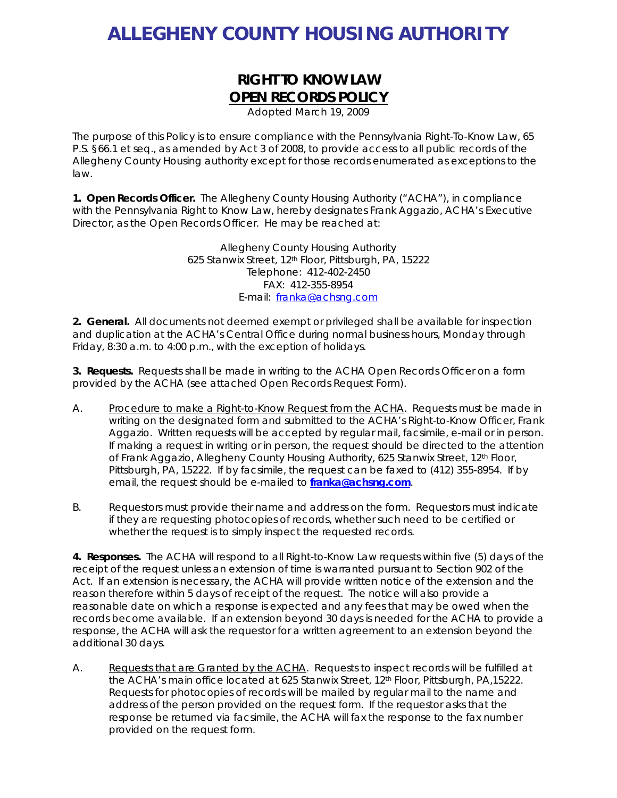# **ALLEGHENY COUNTY HOUSING AUTHORITY**

## **RIGHT TO KNOW LAW OPEN RECORDS POLICY**

*Adopted March 19, 2009* 

The purpose of this Policy is to ensure compliance with the Pennsylvania Right-To-Know Law, 65 P.S. §66.1 et seq., as amended by Act 3 of 2008, to provide access to all public records of the Allegheny County Housing authority except for those records enumerated as exceptions to the law.

**1. Open Records Officer.** The Allegheny County Housing Authority ("ACHA"), in compliance with the Pennsylvania Right to Know Law, hereby designates Frank Aggazio, ACHA's Executive Director, as the Open Records Officer. He may be reached at:

> Allegheny County Housing Authority 625 Stanwix Street, 12th Floor, Pittsburgh, PA, 15222 Telephone: 412-402-2450 FAX: 412-355-8954 E-mail: franka@achsng.com

**2. General.** All documents not deemed exempt or privileged shall be available for inspection and duplication at the ACHA's Central Office during normal business hours, Monday through Friday, 8:30 a.m. to 4:00 p.m., with the exception of holidays.

**3. Requests.** Requests shall be made in writing to the ACHA Open Records Officer on a form provided by the ACHA (see attached Open Records Request Form).

- A. Procedure to make a Right-to-Know Request from the ACHA. Requests must be made in writing on the designated form and submitted to the ACHA's Right-to-Know Officer, Frank Aggazio. Written requests will be accepted by regular mail, facsimile, e-mail or in person. If making a request in writing or in person, the request should be directed to the attention of Frank Aggazio, Allegheny County Housing Authority, 625 Stanwix Street, 12th Floor, Pittsburgh, PA, 15222. If by facsimile, the request can be faxed to (412) 355-8954. If by email, the request should be e-mailed to **franka@achsng.com**.
- B. Requestors must provide their name and address on the form. Requestors must indicate if they are requesting photocopies of records, whether such need to be certified or whether the request is to simply inspect the requested records.

**4. Responses.** The ACHA will respond to all Right-to-Know Law requests within five (5) days of the receipt of the request unless an extension of time is warranted pursuant to Section 902 of the Act. If an extension is necessary, the ACHA will provide written notice of the extension and the reason therefore within 5 days of receipt of the request. The notice will also provide a reasonable date on which a response is expected and any fees that may be owed when the records become available. If an extension beyond 30 days is needed for the ACHA to provide a response, the ACHA will ask the requestor for a written agreement to an extension beyond the additional 30 days.

A. Requests that are Granted by the ACHA. Requests to inspect records will be fulfilled at the ACHA's main office located at 625 Stanwix Street, 12<sup>th</sup> Floor, Pittsburgh, PA,15222. Requests for photocopies of records will be mailed by regular mail to the name and address of the person provided on the request form. If the requestor asks that the response be returned via facsimile, the ACHA will fax the response to the fax number provided on the request form.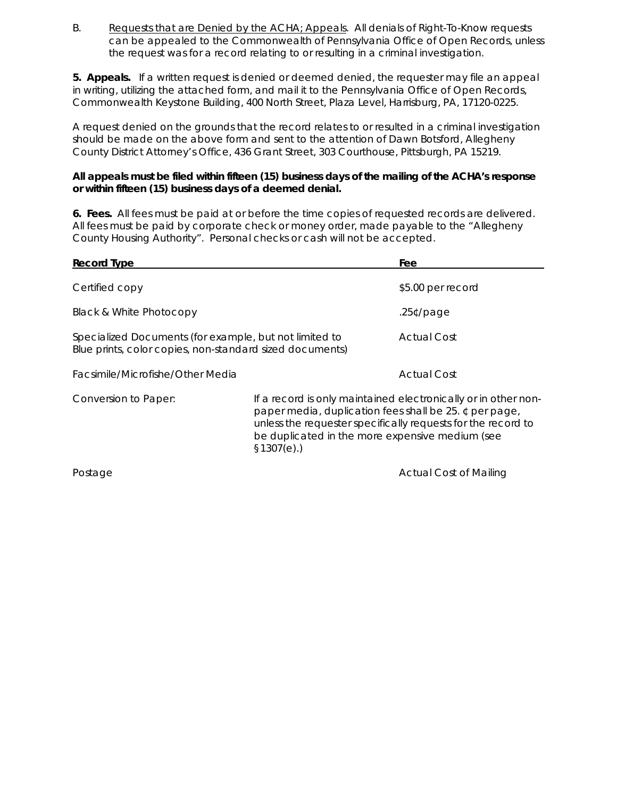B. Requests that are Denied by the ACHA; Appeals. All denials of Right-To-Know requests can be appealed to the Commonwealth of Pennsylvania Office of Open Records, unless the request was for a record relating to or resulting in a criminal investigation.

**5. Appeals.** If a written request is denied or deemed denied, the requester may file an appeal in writing, utilizing the attached form, and mail it to the Pennsylvania Office of Open Records, Commonwealth Keystone Building, 400 North Street, Plaza Level, Harrisburg, PA, 17120-0225.

A request denied on the grounds that the record relates to or resulted in a criminal investigation should be made on the above form and sent to the attention of Dawn Botsford, Allegheny County District Attorney's Office, 436 Grant Street, 303 Courthouse, Pittsburgh, PA 15219.

#### **All appeals must be filed within fifteen (15) business days of the mailing of the ACHA's response or within fifteen (15) business days of a deemed denial.**

**6. Fees.** All fees must be paid at or before the time copies of requested records are delivered. All fees must be paid by corporate check or money order, made payable to the "Allegheny County Housing Authority". Personal checks or cash will not be accepted.

| <b>Record Type</b>                                                                                                 |                                                                                                                                                                                                                                                           | Fee                           |  |  |  |
|--------------------------------------------------------------------------------------------------------------------|-----------------------------------------------------------------------------------------------------------------------------------------------------------------------------------------------------------------------------------------------------------|-------------------------------|--|--|--|
| Certified copy                                                                                                     |                                                                                                                                                                                                                                                           | \$5.00 per record             |  |  |  |
| Black & White Photocopy                                                                                            | $.25$ ¢/page                                                                                                                                                                                                                                              |                               |  |  |  |
| Specialized Documents (for example, but not limited to<br>Blue prints, color copies, non-standard sized documents) |                                                                                                                                                                                                                                                           | <b>Actual Cost</b>            |  |  |  |
| Facsimile/Microfishe/Other Media                                                                                   |                                                                                                                                                                                                                                                           | <b>Actual Cost</b>            |  |  |  |
| Conversion to Paper:                                                                                               | If a record is only maintained electronically or in other non-<br>paper media, duplication fees shall be 25. ¢ per page,<br>unless the requester specifically requests for the record to<br>be duplicated in the more expensive medium (see<br>\$1307(e). |                               |  |  |  |
| Postage                                                                                                            |                                                                                                                                                                                                                                                           | <b>Actual Cost of Mailing</b> |  |  |  |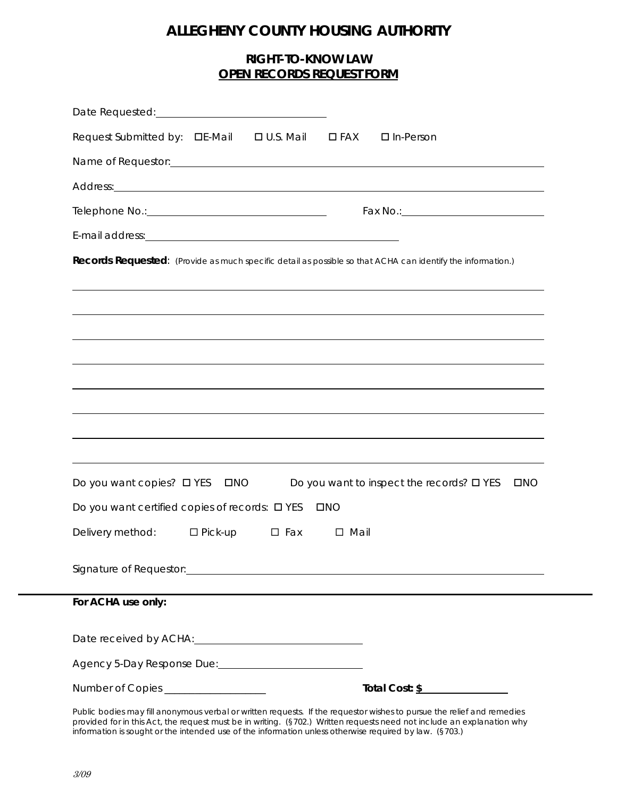## **ALLEGHENY COUNTY HOUSING AUTHORITY**

### **RIGHT-TO-KNOW LAW OPEN RECORDS REQUEST FORM**

| Request Submitted by: □E-Mail                                                                                                                                                                                                  | $\Box$ U.S. Mail | $\square$ FAX  | $\Box$ In-Person                                                                                                                                                                                                                     |
|--------------------------------------------------------------------------------------------------------------------------------------------------------------------------------------------------------------------------------|------------------|----------------|--------------------------------------------------------------------------------------------------------------------------------------------------------------------------------------------------------------------------------------|
|                                                                                                                                                                                                                                |                  |                | Name of Requestor: example and a series of the series of the series of the series of the series of the series of the series of the series of the series of the series of the series of the series of the series of the series        |
|                                                                                                                                                                                                                                |                  |                | Address: <u>example and the set of the set of the set of the set of the set of the set of the set of the set of the set of the set of the set of the set of the set of the set of the set of the set of the set of the set of th</u> |
|                                                                                                                                                                                                                                |                  |                |                                                                                                                                                                                                                                      |
| E-mail address: Notified and the mail of the mail and the set of the mail of the mail of the mail of the mail of the mail of the mail of the mail of the mail of the mail of the mail of the mail of the mail of the mail of t |                  |                |                                                                                                                                                                                                                                      |
|                                                                                                                                                                                                                                |                  |                | Records Requested: (Provide as much specific detail as possible so that ACHA can identify the information.)                                                                                                                          |
|                                                                                                                                                                                                                                |                  |                |                                                                                                                                                                                                                                      |
|                                                                                                                                                                                                                                |                  |                |                                                                                                                                                                                                                                      |
|                                                                                                                                                                                                                                |                  |                |                                                                                                                                                                                                                                      |
|                                                                                                                                                                                                                                |                  |                |                                                                                                                                                                                                                                      |
|                                                                                                                                                                                                                                |                  |                |                                                                                                                                                                                                                                      |
|                                                                                                                                                                                                                                |                  |                |                                                                                                                                                                                                                                      |
|                                                                                                                                                                                                                                |                  |                |                                                                                                                                                                                                                                      |
|                                                                                                                                                                                                                                |                  |                |                                                                                                                                                                                                                                      |
| Do you want copies? $\Box$ YES                                                                                                                                                                                                 | $\Box$ NO        |                | Do you want to inspect the records? $\square$ YES<br>$\square$ NO                                                                                                                                                                    |
| Do you want certified copies of records: $\square$ YES                                                                                                                                                                         |                  | $\square$ NO   |                                                                                                                                                                                                                                      |
| Delivery method: □ Pick-up                                                                                                                                                                                                     | $\square$ Fax    | $\square$ Mail |                                                                                                                                                                                                                                      |
|                                                                                                                                                                                                                                |                  |                |                                                                                                                                                                                                                                      |
|                                                                                                                                                                                                                                |                  |                |                                                                                                                                                                                                                                      |
| For ACHA use only:                                                                                                                                                                                                             |                  |                |                                                                                                                                                                                                                                      |
|                                                                                                                                                                                                                                |                  |                |                                                                                                                                                                                                                                      |
|                                                                                                                                                                                                                                |                  |                |                                                                                                                                                                                                                                      |
|                                                                                                                                                                                                                                |                  |                |                                                                                                                                                                                                                                      |
| Number of Copies ___________________                                                                                                                                                                                           |                  |                | Total Cost: \$<br>Public bodies may fill anonymous verbal or written requests. If the requestor wishes to pursue the relief and remedies                                                                                             |

*Public bodies may fill anonymous verbal or written requests. If the requestor wishes to pursue the relief and remedies provided for in this Act, the request must be in writing. (§702.) Written requests need not include an explanation why information is sought or the intended use of the information unless otherwise required by law. (§703.)*